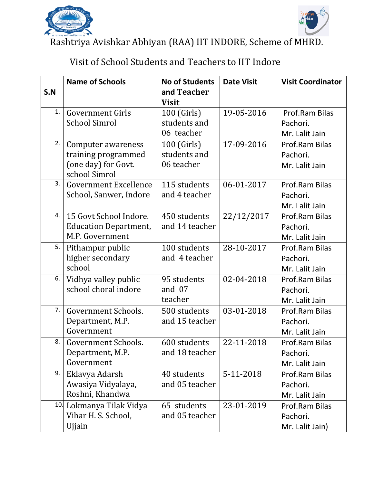



Rashtriya Avishkar Abhiyan (RAA) IIT INDORE, Scheme of MHRD.

## Visit of School Students and Teachers to IIT Indore

|     | <b>Name of Schools</b>                                                            | <b>No of Students</b>                     | <b>Date Visit</b> | <b>Visit Coordinator</b>                      |
|-----|-----------------------------------------------------------------------------------|-------------------------------------------|-------------------|-----------------------------------------------|
| S.N |                                                                                   | and Teacher<br><b>Visit</b>               |                   |                                               |
| 1.  | <b>Government Girls</b><br><b>School Simrol</b>                                   | 100 (Girls)<br>students and<br>06 teacher | 19-05-2016        | Prof.Ram Bilas<br>Pachori.<br>Mr. Lalit Jain  |
| 2.  | Computer awareness<br>training programmed<br>(one day) for Govt.<br>school Simrol | 100 (Girls)<br>students and<br>06 teacher | 17-09-2016        | Prof.Ram Bilas<br>Pachori.<br>Mr. Lalit Jain  |
| 3.  | <b>Government Excellence</b><br>School, Sanwer, Indore                            | 115 students<br>and 4 teacher             | 06-01-2017        | Prof.Ram Bilas<br>Pachori.<br>Mr. Lalit Jain  |
| 4.  | 15 Govt School Indore.<br><b>Education Department,</b><br>M.P. Government         | 450 students<br>and 14 teacher            | 22/12/2017        | Prof.Ram Bilas<br>Pachori.<br>Mr. Lalit Jain  |
| 5.  | Pithampur public<br>higher secondary<br>school                                    | 100 students<br>and 4 teacher             | 28-10-2017        | Prof.Ram Bilas<br>Pachori.<br>Mr. Lalit Jain  |
| 6.  | Vidhya valley public<br>school choral indore                                      | 95 students<br>and 07<br>teacher          | 02-04-2018        | Prof.Ram Bilas<br>Pachori.<br>Mr. Lalit Jain  |
| 7.  | Government Schools.<br>Department, M.P.<br>Government                             | 500 students<br>and 15 teacher            | 03-01-2018        | Prof.Ram Bilas<br>Pachori.<br>Mr. Lalit Jain  |
| 8.  | Government Schools.<br>Department, M.P.<br>Government                             | 600 students<br>and 18 teacher            | 22-11-2018        | Prof.Ram Bilas<br>Pachori.<br>Mr. Lalit Jain  |
| 9.  | Eklavya Adarsh<br>Awasiya Vidyalaya,<br>Roshni, Khandwa                           | 40 students<br>and 05 teacher             | 5-11-2018         | Prof.Ram Bilas<br>Pachori.<br>Mr. Lalit Jain  |
| 10. | Lokmanya Tilak Vidya<br>Vihar H. S. School,<br>Ujjain                             | 65 students<br>and 05 teacher             | 23-01-2019        | Prof.Ram Bilas<br>Pachori.<br>Mr. Lalit Jain) |